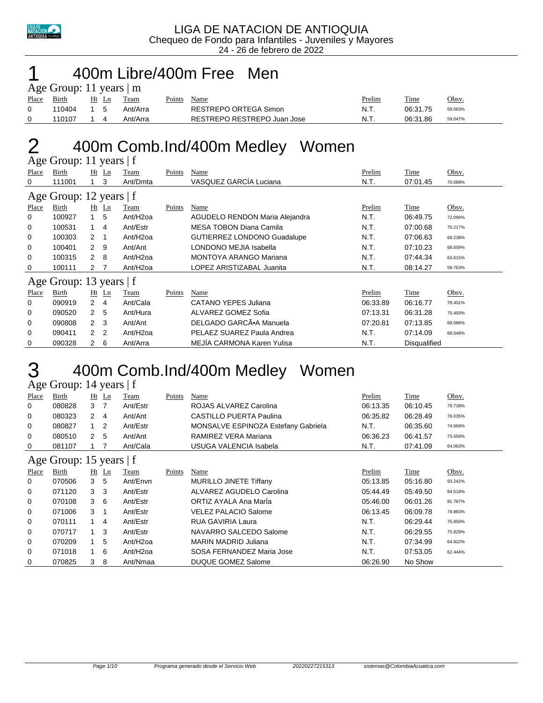

#### 400m Libre/400m Free Men

|       | Age Group: 11 years $\mid$ m |       |  |          |        |                             |        |          |         |  |  |  |
|-------|------------------------------|-------|--|----------|--------|-----------------------------|--------|----------|---------|--|--|--|
| Place | Birth                        | Ht Ln |  | Team     | Points | Name                        | Prelim | Time     | Obsv.   |  |  |  |
|       | 110404                       | 1 5   |  | Ant/Arra |        | RESTREPO ORTEGA Simon       | N.T.   | 06:31.75 | 59.063% |  |  |  |
|       | 110107                       |       |  | Ant/Arra |        | RESTREPO RESTREPO Juan Jose | N.T.   | 06:31.86 | 59.047% |  |  |  |

### 400m Comb.Ind/400m Medley Women

|       | Age Group: 11 years   f |                |                |                       |        |                                    |          |                     |         |  |  |  |
|-------|-------------------------|----------------|----------------|-----------------------|--------|------------------------------------|----------|---------------------|---------|--|--|--|
| Place | Birth                   |                | $Ht$ Ln        | Team                  | Points | Name                               | Prelim   | Time                | Obsv.   |  |  |  |
| 0     | 111001                  |                | 3              | Ant/Dmta              |        | VASQUEZ GARCÍA Luciana             | N.T.     | 07:01.45            | 70.089% |  |  |  |
|       | Age Group: 12 years   f |                |                |                       |        |                                    |          |                     |         |  |  |  |
| Place | Birth                   |                | $Ht$ Ln        | Team                  | Points | Name                               | Prelim   | Time                | Obsv.   |  |  |  |
| 0     | 100927                  | $\mathbf{1}$   | 5              | Ant/H <sub>20a</sub>  |        | AGUDELO RENDON Maria Alejandra     | N.T.     | 06:49.75            | 72.090% |  |  |  |
| 0     | 100531                  | $\mathbf{1}$   | $\overline{4}$ | Ant/Estr              |        | <b>MESA TOBON Diana Camila</b>     | N.T.     | 07:00.68            | 70.217% |  |  |  |
| 0     | 100303                  | 2              |                | Ant/H <sub>2</sub> oa |        | <b>GUTIERREZ LONDONO Guadalupe</b> | N.T.     | 07:06.63            | 69.238% |  |  |  |
| 0     | 100401                  | $\overline{2}$ | 9              | Ant/Ant               |        | LONDONO MEJIA Isabella             | N.T.     | 07:10.23            | 68.659% |  |  |  |
| 0     | 100315                  | 2              | 8              | Ant/H <sub>2</sub> oa |        | MONTOYA ARANGO Mariana             | N.T.     | 07:44.34            | 63.615% |  |  |  |
| 0     | 100111                  | 2              | 7              | Ant/H <sub>20a</sub>  |        | LOPEZ ARISTIZABAL Juanita          | N.T.     | 08:14.27            | 59.763% |  |  |  |
|       | Age Group: 13 years   f |                |                |                       |        |                                    |          |                     |         |  |  |  |
| Place | Birth                   |                | $Ht$ Ln        | Team                  | Points | Name                               | Prelim   | Time                | Obsv.   |  |  |  |
| 0     | 090919                  | $\overline{2}$ | 4              | Ant/Cala              |        | CATANO YEPES Juliana               | 06:33.89 | 06:16.77            | 78.401% |  |  |  |
| 0     | 090520                  | $\overline{2}$ | 5              | Ant/Hura              |        | ALVAREZ GOMEZ Sofia                | 07:13.31 | 06:31.28            | 75.493% |  |  |  |
| 0     | 090808                  | $\overline{2}$ | -3             | Ant/Ant               |        | DELGADO GARCÃ.A Manuela            | 07:20.81 | 07:13.85            | 68.086% |  |  |  |
| 0     | 090411                  | $\mathcal{P}$  | $\overline{2}$ | Ant/H <sub>20a</sub>  |        | PELAEZ SUAREZ Paula Andrea         | N.T.     | 07:14.09            | 68.048% |  |  |  |
| 0     | 090328                  | $\overline{2}$ | 6              | Ant/Arra              |        | MEJÍA CARMONA Karen Yulisa         | N.T.     | <b>Disqualified</b> |         |  |  |  |

### 400m Comb.Ind/400m Medley Women

Age Group: 14 years | f

| Place        | Birth                   |                | $Ht$ Ln        | Team                 | Points | Name                                | Prelim   | Time        | Obsv.   |
|--------------|-------------------------|----------------|----------------|----------------------|--------|-------------------------------------|----------|-------------|---------|
| 0            | 080828                  | 3              | -7             | Ant/Estr             |        | ROJAS ALVAREZ Carolina              | 06:13.35 | 06:10.45    | 79.738% |
| 0            | 080323                  | $\mathbf{2}$   | 4              | Ant/Ant              |        | <b>CASTILLO PUERTA Paulina</b>      | 06:35.82 | 06:28.49    | 76.035% |
| 0            | 080827                  | 1              | $\overline{2}$ | Ant/Estr             |        | MONSALVE ESPINOZA Estefany Gabriela | N.T.     | 06:35.60    | 74.669% |
| 0            | 080510                  | 2              | -5             | Ant/Ant              |        | RAMIREZ VERA Mariana                | 06:36.23 | 06:41.57    | 73.559% |
| 0            | 081107                  |                | - 7            | Ant/Cala             |        | USUGA VALENCIA Isabela              | N.T.     | 07:41.09    | 64.063% |
|              | Age Group: 15 years   f |                |                |                      |        |                                     |          |             |         |
| <b>Place</b> | Birth                   |                | $Ht$ Ln        | Team                 | Points | Name                                | Prelim   | <b>Time</b> | Obsv.   |
| 0            | 070506                  | 3              | -5             | Ant/Envn             |        | <b>MURILLO JINETE Tiffany</b>       | 05:13.85 | 05:16.80    | 93.242% |
| 0            | 071120                  | 3 <sub>3</sub> |                | Ant/Estr             |        | ALVAREZ AGUDELO Carolina            | 05:44.49 | 05:49.50    | 84.518% |
| 0            | 070108                  | 3              | 6              | Ant/Estr             |        | ORTIZ AYALA Ana Marla               | 05:46.00 | 06:01.26    | 81.767% |
| 0            | 071006                  | 3              | -1             | Ant/Estr             |        | <b>VELEZ PALACIO Salome</b>         | 06:13.45 | 06:09.78    | 79.883% |
| 0            | 070111                  | 1              | 4              | Ant/Estr             |        | RUA GAVIRIA Laura                   | N.T.     | 06:29.44    | 75.850% |
| 0            | 070717                  | 1              | 3              | Ant/Estr             |        | NAVARRO SALCEDO Salome              | N.T.     | 06:29.55    | 75.829% |
| 0            | 070209                  |                | 5              | Ant/H <sub>20a</sub> |        | <b>MARIN MADRID Juliana</b>         | N.T.     | 07:34.99    | 64.922% |
| 0            | 071018                  |                | 6              | Ant/H <sub>20a</sub> |        | SOSA FERNANDEZ Maria Jose           | N.T.     | 07:53.05    | 62.444% |
| 0            | 070825                  | 3              | 8              | Ant/Nmaa             |        | <b>DUQUE GOMEZ Salome</b>           | 06:26.90 | No Show     |         |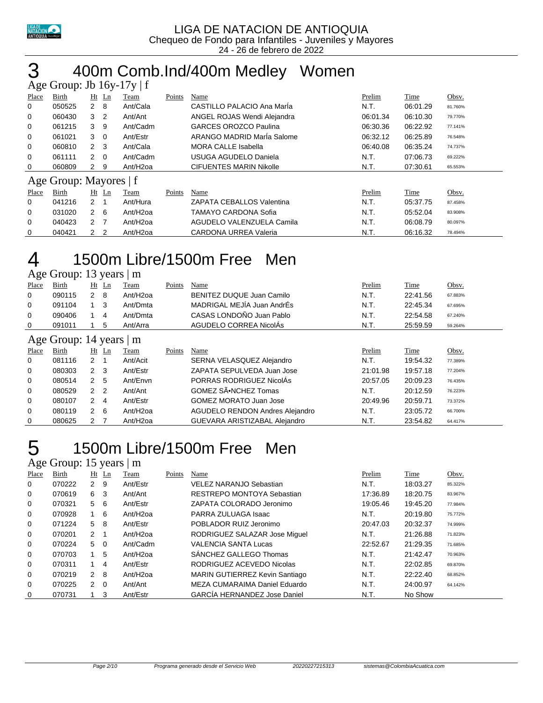

## 400m Comb.Ind/400m Medley Women

|       | Age Group: Jb $16y-17y \mid f$ |                |                |                      |        |                                |          |             |         |
|-------|--------------------------------|----------------|----------------|----------------------|--------|--------------------------------|----------|-------------|---------|
| Place | Birth                          |                | $Ht$ Ln        | Team                 | Points | Name                           | Prelim   | Time        | Obsv.   |
| 0     | 050525                         | $2 \quad 8$    |                | Ant/Cala             |        | CASTILLO PALACIO Ana Maria     | N.T.     | 06:01.29    | 81.760% |
| 0     | 060430                         | 3 <sub>2</sub> |                | Ant/Ant              |        | ANGEL ROJAS Wendi Alejandra    | 06:01.34 | 06:10.30    | 79.770% |
| 0     | 061215                         | 3              | - 9            | Ant/Cadm             |        | <b>GARCES OROZCO Paulina</b>   | 06:30.36 | 06:22.92    | 77.141% |
| 0     | 061021                         | $3 \quad 0$    |                | Ant/Estr             |        | ARANGO MADRID MarÍa Salome     | 06:32.12 | 06:25.89    | 76.548% |
| 0     | 060810                         | $\overline{2}$ | - 3            | Ant/Cala             |        | <b>MORA CALLE Isabella</b>     | 06:40.08 | 06:35.24    | 74.737% |
| 0     | 061111                         | $2\quad 0$     |                | Ant/Cadm             |        | USUGA AGUDELO Daniela          | N.T.     | 07:06.73    | 69.222% |
| 0     | 060809                         | $\mathbf{2}$   | - 9            | Ant/H <sub>20a</sub> |        | <b>CIFUENTES MARIN Nikolle</b> | N.T.     | 07:30.61    | 65.553% |
|       | Age Group: Mayores   f         |                |                |                      |        |                                |          |             |         |
| Place | Birth                          |                | $Ht$ Ln        | Team                 | Points | Name                           | Prelim   | <b>Time</b> | Obsv.   |
| 0     | 041216                         | $2 \quad 1$    |                | Ant/Hura             |        | ZAPATA CEBALLOS Valentina      | N.T.     | 05:37.75    | 87.458% |
| 0     | 031020                         | $2 \quad 6$    |                | Ant/H <sub>20a</sub> |        | <b>TAMAYO CARDONA Sofia</b>    | N.T.     | 05:52.04    | 83.908% |
| 0     | 040423                         | 2              | $\overline{7}$ | Ant/H <sub>20a</sub> |        | AGUDELO VALENZUELA Camila      | N.T.     | 06:08.79    | 80.097% |
| 0     | 040421                         | $\overline{2}$ | $\overline{2}$ | Ant/H <sub>20a</sub> |        | <b>CARDONA URREA Valeria</b>   | N.T.     | 06:16.32    | 78.494% |

### 1500m Libre/1500m Free Men

#### Age Group: 13 years | m

| ~        |                         |                |                |                      |        |                                        |          |          |         |
|----------|-------------------------|----------------|----------------|----------------------|--------|----------------------------------------|----------|----------|---------|
| Place    | Birth                   |                | $Ht$ Ln        | Team                 | Points | Name                                   | Prelim   | Time     | Obsv.   |
| 0        | 090115                  | 2              | 8              | Ant/H <sub>20a</sub> |        | BENITEZ DUQUE Juan Camilo              | N.T.     | 22:41.56 | 67.883% |
| 0        | 091104                  | $1 \quad 3$    |                | Ant/Dmta             |        | MADRIGAL MEJÍA Juan AndrÉs             | N.T.     | 22:45.34 | 67.695% |
| 0        | 090406                  |                | 4              | Ant/Dmta             |        | CASAS LONDOÑO Juan Pablo               | N.T.     | 22:54.58 | 67.240% |
| 0        | 091011                  |                | 5              | Ant/Arra             |        | AGUDELO CORREA NicolÁs                 | N.T.     | 25:59.59 | 59.264% |
|          | Age Group: 14 years   m |                |                |                      |        |                                        |          |          |         |
| Place    | Birth                   | Ht             | Ln             | Team                 | Points | Name                                   | Prelim   | Time     | Obsv.   |
| $\Omega$ | 081116                  | 2              |                | Ant/Acit             |        | SERNA VELASQUEZ Alejandro              | N.T.     | 19:54.32 | 77.389% |
| 0        | 080303                  | $\mathbf{2}$   | - 3            | Ant/Estr             |        | ZAPATA SEPULVEDA Juan Jose             | 21:01.98 | 19:57.18 | 77.204% |
| 0        | 080514                  | $\overline{2}$ | -5             | Ant/Envn             |        | PORRAS RODRIGUEZ NicolAs               | 20:57.05 | 20:09.23 | 76.435% |
| 0        | 080529                  | $\overline{2}$ | $\overline{2}$ | Ant/Ant              |        | GOMEZ SÃ.NCHEZ Tomas                   | N.T.     | 20:12.59 | 76.223% |
| 0        | 080107                  | $\overline{2}$ | 4              | Ant/Estr             |        | <b>GOMEZ MORATO Juan Jose</b>          | 20:49.96 | 20:59.71 | 73.372% |
| 0        | 080119                  | $\overline{2}$ | 6              | Ant/H <sub>2oa</sub> |        | <b>AGUDELO RENDON Andres Alejandro</b> | N.T.     | 23:05.72 | 66.700% |
| 0        | 080625                  | 2              |                | Ant/H <sub>2oa</sub> |        | GUEVARA ARISTIZABAL Alejandro          | N.T.     | 23:54.82 | 64.417% |
|          |                         |                |                |                      |        |                                        |          |          |         |

### 1500m Libre/1500m Free Men

#### Age Group: 15 years | m

| Place        | Birth  | Ht Ln                |          | Team                 | Points | Name                                | Prelim   | Time     | Obsv.   |
|--------------|--------|----------------------|----------|----------------------|--------|-------------------------------------|----------|----------|---------|
| $\mathbf{0}$ | 070222 | $\mathbf{2}^{\circ}$ | 9        | Ant/Estr             |        | <b>VELEZ NARANJO Sebastian</b>      | N.T.     | 18:03.27 | 85.322% |
| 0            | 070619 | 6                    | 3        | Ant/Ant              |        | RESTREPO MONTOYA Sebastian          | 17:36.89 | 18:20.75 | 83.967% |
| 0            | 070321 | 5                    | - 6      | Ant/Estr             |        | ZAPATA COLORADO Jeronimo            | 19:05.46 | 19:45.20 | 77.984% |
| 0            | 070928 |                      | 6        | Ant/H <sub>20a</sub> |        | PARRA ZULUAGA Isaac                 | N.T.     | 20:19.80 | 75.772% |
| 0            | 071224 | 5                    | -8       | Ant/Estr             |        | POBLADOR RUIZ Jeronimo              | 20:47.03 | 20:32.37 | 74.999% |
| 0            | 070201 | $2 \quad 1$          |          | Ant/H <sub>20a</sub> |        | RODRIGUEZ SALAZAR Jose Miguel       | N.T.     | 21:26.88 | 71.823% |
| 0            | 070224 | 5                    | $\Omega$ | Ant/Cadm             |        | <b>VALENCIA SANTA Lucas</b>         | 22:52.67 | 21:29.35 | 71.685% |
| 0            | 070703 | 1                    | -5       | Ant/H <sub>20a</sub> |        | SANCHEZ GALLEGO Thomas              | N.T.     | 21:42.47 | 70.963% |
| 0            | 070311 | 1                    | 4        | Ant/Estr             |        | RODRIGUEZ ACEVEDO Nicolas           | N.T.     | 22:02.85 | 69.870% |
| 0            | 070219 | $2 \quad 8$          |          | Ant/H <sub>20a</sub> |        | MARIN GUTIERREZ Kevin Santiago      | N.T.     | 22:22.40 | 68.852% |
| 0            | 070225 | $2 \quad 0$          |          | Ant/Ant              |        | MEZA CUMARAIMA Daniel Eduardo       | N.T.     | 24:00.97 | 64.142% |
| 0            | 070731 |                      | 3        | Ant/Estr             |        | <b>GARCIA HERNANDEZ Jose Daniel</b> | N.T.     | No Show  |         |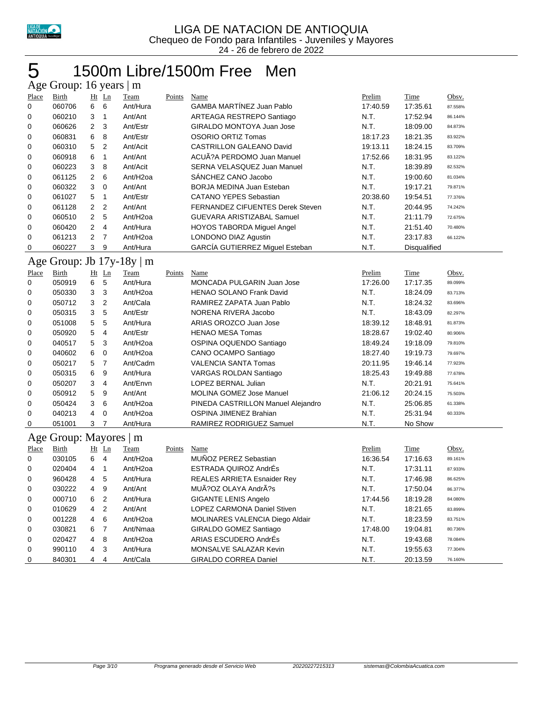

## 1500m Libre/1500m Free Men

|                   | Age Group: 16 years   m |                |                         |                                |               |                                                 |          |                      |         |
|-------------------|-------------------------|----------------|-------------------------|--------------------------------|---------------|-------------------------------------------------|----------|----------------------|---------|
| Place             | <b>Birth</b>            |                | Ht Ln                   | Team                           | Points        | <b>Name</b>                                     | Prelim   | <b>Time</b>          | Obsv.   |
| 0                 | 060706                  | 6              | 6                       | Ant/Hura                       |               | GAMBA MARTÍNEZ Juan Pablo                       | 17:40.59 | 17:35.61             | 87.558% |
| 0                 | 060210                  | 3              | $\mathbf{1}$            | Ant/Ant                        |               | ARTEAGA RESTREPO Santiago                       | N.T.     | 17:52.94             | 86.144% |
| 0                 | 060626                  | $\overline{2}$ | 3                       | Ant/Estr                       |               | GIRALDO MONTOYA Juan Jose                       | N.T.     | 18:09.00             | 84.873% |
| 0                 | 060831                  | 6              | 8                       | Ant/Estr                       |               | <b>OSORIO ORTIZ Tomas</b>                       | 18:17.23 | 18:21.35             | 83.922% |
| 0                 | 060310                  | 5              | $\overline{2}$          | Ant/Acit                       |               | <b>CASTRILLON GALEANO David</b>                 | 19:13.11 | 18:24.15             | 83.709% |
| 0                 | 060918                  | 6              | 1                       | Ant/Ant                        |               | ACUÃ?A PERDOMO Juan Manuel                      | 17:52.66 | 18:31.95             | 83.122% |
| 0                 | 060223                  | 3              | 8                       | Ant/Acit                       |               | SERNA VELASQUEZ Juan Manuel                     | N.T.     | 18:39.89             | 82.532% |
| 0                 | 061125                  | 2              | 6                       | Ant/H <sub>2oa</sub>           |               | SANCHEZ CANO Jacobo                             | N.T.     | 19:00.60             | 81.034% |
| 0                 | 060322                  | 3              | $\mathbf 0$             | Ant/Ant                        |               | BORJA MEDINA Juan Esteban                       | N.T.     | 19:17.21             | 79.871% |
| 0                 | 061027                  | 5              | $\mathbf{1}$            | Ant/Estr                       |               | <b>CATANO YEPES Sebastian</b>                   | 20:38.60 | 19:54.51             | 77.376% |
| 0                 | 061128                  | 2              | $\overline{2}$          | Ant/Ant                        |               | <b>FERNANDEZ CIFUENTES Derek Steven</b>         | N.T.     | 20:44.95             | 74.242% |
| 0                 | 060510                  | $\overline{2}$ | 5                       | Ant/H <sub>2oa</sub>           |               | <b>GUEVARA ARISTIZABAL Samuel</b>               | N.T.     | 21:11.79             | 72.675% |
| 0                 | 060420                  | $\overline{2}$ | 4                       | Ant/Hura                       |               | HOYOS TABORDA Miguel Angel                      | N.T.     | 21:51.40             | 70.480% |
| 0                 | 061213                  | $\overline{2}$ | 7                       | Ant/H <sub>2oa</sub>           |               | LONDONO DIAZ Agustin                            | N.T.     | 23:17.83             | 66.122% |
| 0                 | 060227                  | 3              | 9                       | Ant/Hura                       |               | GARCÍA GUTIERREZ Miguel Esteban                 | N.T.     | Disqualified         |         |
|                   |                         |                |                         | Age Group: Jb $17y-18y \mid m$ |               |                                                 |          |                      |         |
| Place             | <b>Birth</b>            |                | Ht Ln                   | <b>Team</b>                    | Points        | <b>Name</b>                                     | Prelim   | Time                 | Obsv.   |
| 0                 | 050919                  | 6              | 5                       | Ant/Hura                       |               | MONCADA PULGARIN Juan Jose                      | 17:26.00 | 17:17.35             | 89.099% |
| 0                 | 050330                  | 3              | 3                       | Ant/H <sub>2oa</sub>           |               | <b>HENAO SOLANO Frank David</b>                 | N.T.     | 18:24.09             | 83.713% |
| 0                 | 050712                  | 3              | $\overline{2}$          | Ant/Cala                       |               | RAMIREZ ZAPATA Juan Pablo                       | N.T.     | 18:24.32             | 83.696% |
| 0                 | 050315                  | 3              | 5                       | Ant/Estr                       |               | NORENA RIVERA Jacobo                            | N.T.     | 18:43.09             | 82.297% |
| 0                 | 051008                  | 5              | 5                       | Ant/Hura                       |               | ARIAS OROZCO Juan Jose                          | 18:39.12 | 18:48.91             | 81.873% |
| 0                 | 050920                  | 5              | $\overline{4}$          | Ant/Estr                       |               | <b>HENAO MESA Tomas</b>                         | 18:28.67 | 19:02.40             | 80.906% |
| 0                 | 040517                  | 5              | 3                       | Ant/H <sub>2oa</sub>           |               | OSPINA OQUENDO Santiago                         | 18:49.24 | 19:18.09             | 79.810% |
| 0                 | 040602                  | 6              | $\mathbf 0$             | Ant/H <sub>2oa</sub>           |               | CANO OCAMPO Santiago                            | 18:27.40 | 19:19.73             | 79.697% |
| 0                 | 050217                  | 5              | 7                       | Ant/Cadm                       |               | VALENCIA SANTA Tomas                            | 20:11.95 | 19:46.14             | 77.923% |
| 0                 | 050315                  | 6              | 9                       | Ant/Hura                       |               | VARGAS ROLDAN Santiago                          | 18:25.43 | 19:49.88             | 77.678% |
| 0                 | 050207                  | 3              | 4                       | Ant/Envn                       |               | LOPEZ BERNAL Julian                             | N.T.     | 20:21.91             | 75.641% |
| 0                 | 050912                  | 5              | 9                       | Ant/Ant                        |               | MOLINA GOMEZ Jose Manuel                        | 21:06.12 | 20:24.15             | 75.503% |
| 0                 | 050424                  | 3              | 6                       | Ant/H <sub>2oa</sub>           |               | PINEDA CASTRILLON Manuel Alejandro              | N.T.     | 25:06.85             | 61.338% |
| 0                 | 040213                  | 4              | 0                       | Ant/H <sub>20a</sub>           |               | OSPINA JIMENEZ Brahian                          | N.T.     | 25:31.94             | 60.333% |
| 0                 | 051001                  | 3              | 7                       | Ant/Hura                       |               | RAMIREZ RODRIGUEZ Samuel                        | N.T.     | No Show              |         |
|                   | Age Group: Mayores   m  |                |                         |                                |               |                                                 |          |                      |         |
|                   | <b>Birth</b>            |                | $Ht$ Ln                 | <b>Team</b>                    | <b>Points</b> | <b>Name</b>                                     | Prelim   | <b>Time</b>          | Obsv.   |
| <b>Place</b><br>0 | 030105                  | 6              | $\overline{4}$          | Ant/H <sub>2oa</sub>           |               | <b>MUNOZ PEREZ Sebastian</b>                    | 16:36.54 | 17:16.63             | 89.161% |
| 0                 | 020404                  | 4              | $\mathbf{1}$            | Ant/H <sub>2oa</sub>           |               | ESTRADA QUIROZ AndrÉs                           | N.T.     | 17:31.11             | 87.933% |
| 0                 | 960428                  | 4              | 5                       | Ant/Hura                       |               | REALES ARRIETA Esnaider Rey                     | N.T.     | 17:46.98             | 86.625% |
| 0                 | 030222                  | 4              | 9                       | Ant/Ant                        |               | MUÃ?OZ OLAYA AndrÃ?s                            | N.T.     | 17:50.04             | 86.377% |
|                   | 000710                  |                |                         | Ant/Hura                       |               | <b>GIGANTE LENIS Angelo</b>                     | 17:44.56 |                      | 84.080% |
| 0                 | 010629                  | 6              | 2                       | Ant/Ant                        |               | LOPEZ CARMONA Daniel Stiven                     | N.T.     | 18:19.28<br>18:21.65 |         |
| 0                 |                         | 4              | $\overline{\mathbf{c}}$ | Ant/H <sub>2oa</sub>           |               |                                                 | N.T.     |                      | 83.899% |
| 0                 | 001228                  | 4              | 6                       |                                |               | MOLINARES VALENCIA Diego Aldair                 |          | 18:23.59             | 83.751% |
| 0                 | 030821                  | 6              | $\overline{7}$          | Ant/Nmaa                       |               | GIRALDO GOMEZ Santiago<br>ARIAS ESCUDERO AndrÉs | 17:48.00 | 19:04.81             | 80.736% |
| 0                 | 020427                  | 4              | 8                       | Ant/H <sub>2oa</sub>           |               |                                                 | N.T.     | 19:43.68             | 78.084% |
| 0                 | 990110                  | 4              | 3                       | Ant/Hura                       |               | MONSALVE SALAZAR Kevin                          | N.T.     | 19:55.63             | 77.304% |
| 0                 | 840301                  | 4              | $\overline{4}$          | Ant/Cala                       |               | GIRALDO CORREA Daniel                           | N.T.     | 20:13.59             | 76.160% |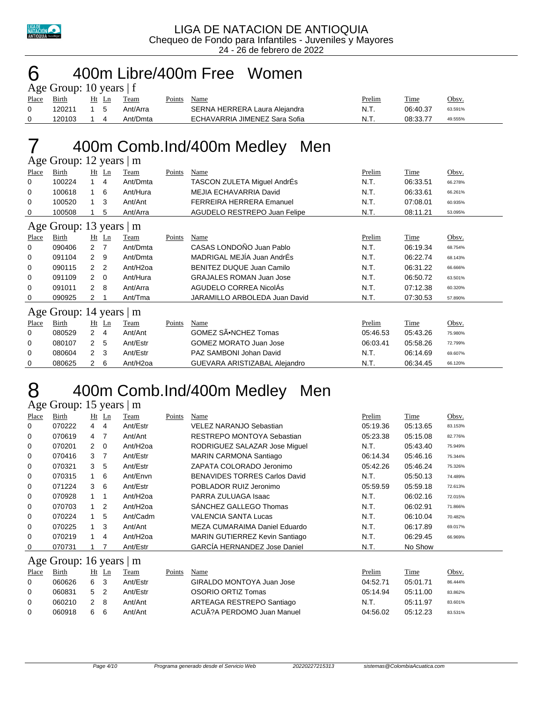

### 400m Libre/400m Free Women

| Age Group: 10 years $ f $ |        |       |  |          |        |                               |        |          |         |  |  |  |
|---------------------------|--------|-------|--|----------|--------|-------------------------------|--------|----------|---------|--|--|--|
| Place Birth               |        | Ht Ln |  | Team     | Points | Name                          | Prelim | Time     | Obsv.   |  |  |  |
|                           | 120211 | 15    |  | Ant/Arra |        | SERNA HERRERA Laura Alejandra | N.T.   | 06:40.37 | 63.591% |  |  |  |
|                           | 120103 |       |  | Ant/Dmta |        | ECHAVARRIA JIMENEZ Sara Sofia | N.T.   | 08:33.77 | 49.555% |  |  |  |

# 7 400m Comb.Ind/400m Medley Men

|              | Age Group: 12 years   m  |                |                |                      |        |                                 |          |             |         |  |  |  |
|--------------|--------------------------|----------------|----------------|----------------------|--------|---------------------------------|----------|-------------|---------|--|--|--|
| Place        | Birth                    |                | $Ht$ Ln        | Team                 | Points | Name                            | Prelim   | Time        | Obsv.   |  |  |  |
| 0            | 100224                   | $\mathbf 1$    | 4              | Ant/Dmta             |        | TASCON ZULETA Miguel AndrÉs     | N.T.     | 06:33.51    | 66.278% |  |  |  |
| 0            | 100618                   | 1              | -6             | Ant/Hura             |        | MEJIA ECHAVARRIA David          | N.T.     | 06:33.61    | 66.261% |  |  |  |
| 0            | 100520                   | $\mathbf{1}$   | 3              | Ant/Ant              |        | <b>FERREIRA HERRERA Emanuel</b> | N.T.     | 07:08.01    | 60.935% |  |  |  |
| 0            | 100508                   | 1              | 5              | Ant/Arra             |        | AGUDELO RESTREPO Juan Felipe    | N.T.     | 08:11.21    | 53.095% |  |  |  |
|              | Age Group: 13 years   m  |                |                |                      |        |                                 |          |             |         |  |  |  |
| <b>Place</b> | Birth                    |                | $Ht$ Ln        | <b>Team</b>          | Points | <b>Name</b>                     | Prelim   | <u>Time</u> | Obsv.   |  |  |  |
| 0            | 090406                   | $\overline{2}$ | - 7            | Ant/Dmta             |        | CASAS LONDOÑO Juan Pablo        | N.T.     | 06:19.34    | 68.754% |  |  |  |
| 0            | 091104                   | 2              | - 9            | Ant/Dmta             |        | MADRIGAL MEJÍA Juan AndrÉs      | N.T.     | 06:22.74    | 68.143% |  |  |  |
| 0            | 090115                   | $\mathcal{P}$  | $\overline{2}$ | Ant/H <sub>2oa</sub> |        | BENITEZ DUQUE Juan Camilo       | N.T.     | 06:31.22    | 66.666% |  |  |  |
| 0            | 091109                   | 2              | $\overline{0}$ | Ant/Hura             |        | <b>GRAJALES ROMAN Juan Jose</b> | N.T.     | 06:50.72    | 63.501% |  |  |  |
| 0            | 091011                   | $\overline{2}$ | 8              | Ant/Arra             |        | AGUDELO CORREA NicolAs          | N.T.     | 07:12.38    | 60.320% |  |  |  |
| 0            | 090925                   | 2              |                | Ant/Tma              |        | JARAMILLO ARBOLEDA Juan David   | N.T.     | 07:30.53    | 57.890% |  |  |  |
|              | Age Group: 14 years $ m$ |                |                |                      |        |                                 |          |             |         |  |  |  |
| <b>Place</b> | Birth                    |                | $Ht$ Ln        | Team                 | Points | Name                            | Prelim   | Time        | Obsv.   |  |  |  |
| 0            | 080529                   | $\mathbf{2}$   | $\overline{4}$ | Ant/Ant              |        | GOMEZ SÃ.NCHEZ Tomas            | 05:46.53 | 05:43.26    | 75.980% |  |  |  |
| 0            | 080107                   | $\overline{2}$ | 5              | Ant/Estr             |        | <b>GOMEZ MORATO Juan Jose</b>   | 06:03.41 | 05:58.26    | 72.799% |  |  |  |
| 0            | 080604                   | $\overline{2}$ | 3              | Ant/Estr             |        | PAZ SAMBONI Johan David         | N.T.     | 06:14.69    | 69.607% |  |  |  |
| 0            | 080625                   | 2              | 6              | Ant/H <sub>2oa</sub> |        | GUEVARA ARISTIZABAL Alejandro   | N.T.     | 06:34.45    | 66.120% |  |  |  |

### 400m Comb.Ind/400m Medley Men

#### Age Group: 15 years | m

| Place    | Birth                   |                | $Ht$ Ln        | Team                 | Points | Name                                 | Prelim   | Time     | Obsv.   |
|----------|-------------------------|----------------|----------------|----------------------|--------|--------------------------------------|----------|----------|---------|
| 0        | 070222                  | 4              | 4              | Ant/Estr             |        | VELEZ NARANJO Sebastian              | 05:19.36 | 05:13.65 | 83.153% |
| 0        | 070619                  | $\overline{4}$ | -7             | Ant/Ant              |        | RESTREPO MONTOYA Sebastian           | 05:23.38 | 05:15.08 | 82.776% |
| 0        | 070201                  | 2              | - 0            | Ant/H <sub>20a</sub> |        | RODRIGUEZ SALAZAR Jose Miguel        | N.T.     | 05:43.40 | 75.949% |
| 0        | 070416                  | 3              | 7              | Ant/Estr             |        | <b>MARIN CARMONA Santiago</b>        | 06:14.34 | 05:46.16 | 75.344% |
| 0        | 070321                  | 3              | 5              | Ant/Estr             |        | ZAPATA COLORADO Jeronimo             | 05:42.26 | 05:46.24 | 75.326% |
| 0        | 070315                  | $\overline{1}$ | 6              | Ant/Envn             |        | <b>BENAVIDES TORRES Carlos David</b> | N.T.     | 05:50.13 | 74.489% |
| 0        | 071224                  | 3              | 6              | Ant/Estr             |        | POBLADOR RUIZ Jeronimo               | 05:59.59 | 05:59.18 | 72.613% |
| 0        | 070928                  | $\overline{1}$ | 1              | Ant/H <sub>20a</sub> |        | PARRA ZULUAGA Isaac                  | N.T.     | 06:02.16 | 72.015% |
| 0        | 070703                  | 1              | $\overline{2}$ | Ant/H <sub>20a</sub> |        | SANCHEZ GALLEGO Thomas               | N.T.     | 06:02.91 | 71.866% |
| 0        | 070224                  |                | 5              | Ant/Cadm             |        | VALENCIA SANTA Lucas                 | N.T.     | 06:10.04 | 70.482% |
| 0        | 070225                  |                | 3              | Ant/Ant              |        | MEZA CUMARAIMA Daniel Eduardo        | N.T.     | 06:17.89 | 69.017% |
| 0        | 070219                  |                | 4              | Ant/H <sub>20a</sub> |        | MARIN GUTIERREZ Kevin Santiago       | N.T.     | 06:29.45 | 66.969% |
| 0        | 070731                  |                |                | Ant/Estr             |        | <b>GARCÍA HERNANDEZ Jose Daniel</b>  | N.T.     | No Show  |         |
|          | Age Group: 16 years   m |                |                |                      |        |                                      |          |          |         |
| Place    | Birth                   |                | $Ht$ Ln        | Team                 | Points | Name                                 | Prelim   | Time     | Obsv.   |
| $\Omega$ | 060626                  | 6              | -3             | Ant/Estr             |        | GIRALDO MONTOYA Juan Jose            | 04.52.71 | 05:01.71 | 86.444% |
| 0        | 060831                  | 5              | 2              | Ant/Estr             |        | OSORIO ORTIZ Tomas                   | 05:14.94 | 05:11.00 | 83.862% |

0 060210 2 8 Ant/Ant ARTEAGA RESTREPO Santiago N.T. 05:11.97 83.601% 060918 6 6 Ant/Ant ACUÃ?A PERDOMO Juan Manuel 04:56.02 05:12.23 83.531%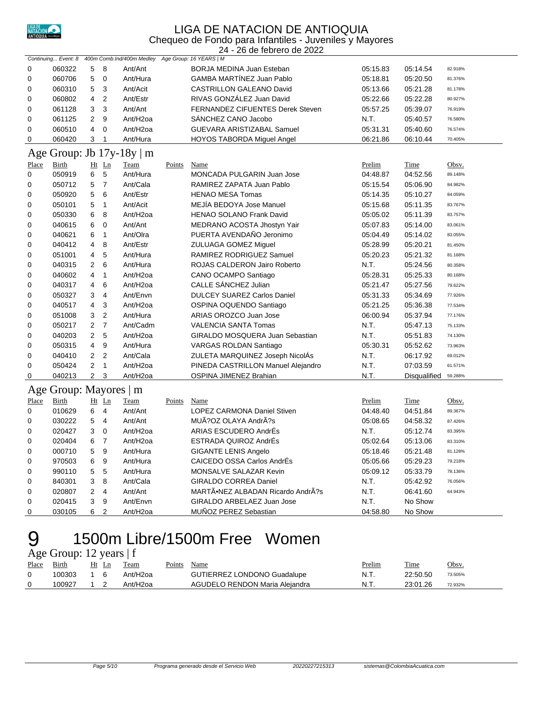

#### LIGA DE NATACION DE ANTIOQUIA Chequeo de Fondo para Infantiles - Juveniles y Mayores

24 - 26 de febrero de 2022

|       | Continuing Event: 8    |                         |                | 400m Comb.Ind/400m Medley |        | Age Group: 16 YEARS   M            |          |              |         |
|-------|------------------------|-------------------------|----------------|---------------------------|--------|------------------------------------|----------|--------------|---------|
| 0     | 060322                 | 5                       | 8              | Ant/Ant                   |        | BORJA MEDINA Juan Esteban          | 05:15.83 | 05:14.54     | 82.918% |
| 0     | 060706                 | 5                       | $\mathbf 0$    | Ant/Hura                  |        | <b>GAMBA MARTÍNEZ Juan Pablo</b>   | 05:18.81 | 05:20.50     | 81.376% |
| 0     | 060310                 | 5                       | 3              | Ant/Acit                  |        | CASTRILLON GALEANO David           | 05:13.66 | 05:21.28     | 81.178% |
| 0     | 060802                 | $\overline{\mathbf{4}}$ | $\overline{2}$ | Ant/Estr                  |        | RIVAS GONZÁLEZ Juan David          | 05:22.66 | 05:22.28     | 80.927% |
| 0     | 061128                 | 3                       | 3              | Ant/Ant                   |        | FERNANDEZ CIFUENTES Derek Steven   | 05:57.25 | 05:39.07     | 76.919% |
| 0     | 061125                 | 2                       | 9              | Ant/H <sub>2oa</sub>      |        | SANCHEZ CANO Jacobo                | N.T.     | 05:40.57     | 76.580% |
| 0     | 060510                 | 4                       | $\mathbf 0$    | Ant/H <sub>2oa</sub>      |        | <b>GUEVARA ARISTIZABAL Samuel</b>  | 05:31.31 | 05:40.60     | 76.574% |
| 0     | 060420                 | 3                       | $\mathbf{1}$   | Ant/Hura                  |        | <b>HOYOS TABORDA Miguel Angel</b>  | 06:21.86 | 06:10.44     | 70.405% |
|       |                        |                         |                | Age Group: Jb 17y-18y   m |        |                                    |          |              |         |
| Place | <b>Birth</b>           |                         | $Ht$ Ln        | Team                      | Points | Name                               | Prelim   | <b>Time</b>  | Obsv.   |
| 0     | 050919                 | 6                       | 5              | Ant/Hura                  |        | MONCADA PULGARIN Juan Jose         | 04:48.87 | 04:52.56     | 89.148% |
| 0     | 050712                 | 5                       | $\overline{7}$ | Ant/Cala                  |        | RAMIREZ ZAPATA Juan Pablo          | 05:15.54 | 05:06.90     | 84.982% |
| 0     | 050920                 | 5                       | 6              | Ant/Estr                  |        | <b>HENAO MESA Tomas</b>            | 05:14.35 | 05:10.27     | 84.059% |
| 0     | 050101                 | 5                       | $\overline{1}$ | Ant/Acit                  |        | MEJIA BEDOYA Jose Manuel           | 05:15.68 | 05:11.35     | 83.767% |
| 0     | 050330                 | 6                       | 8              | Ant/H <sub>2oa</sub>      |        | <b>HENAO SOLANO Frank David</b>    | 05:05.02 | 05:11.39     | 83.757% |
| 0     | 040615                 | 6                       | $\mathbf 0$    | Ant/Ant                   |        | MEDRANO ACOSTA Jhostyn Yair        | 05:07.83 | 05:14.00     | 83.061% |
| 0     | 040621                 | 6                       | $\mathbf{1}$   | Ant/Olra                  |        | PUERTA AVENDAÑO Jeronimo           | 05:04.49 | 05:14.02     | 83.055% |
| 0     | 040412                 | 4                       | 8              | Ant/Estr                  |        | <b>ZULUAGA GOMEZ Miguel</b>        | 05:28.99 | 05:20.21     | 81.450% |
| 0     | 051001                 | 4                       | 5              | Ant/Hura                  |        | RAMIREZ RODRIGUEZ Samuel           | 05:20.23 | 05:21.32     | 81.168% |
| 0     | 040315                 | 2                       | 6              | Ant/Hura                  |        | ROJAS CALDERON Jairo Roberto       | N.T.     | 05:24.56     | 80.358% |
| 0     | 040602                 | 4                       | $\mathbf{1}$   | Ant/H <sub>2oa</sub>      |        | CANO OCAMPO Santiago               | 05:28.31 | 05:25.33     | 80.168% |
| 0     | 040317                 | 4                       | 6              | Ant/H <sub>2oa</sub>      |        | CALLE SÁNCHEZ Julian               | 05:21.47 | 05:27.56     | 79.622% |
| 0     | 050327                 | 3                       | $\overline{4}$ | Ant/Envn                  |        | <b>DULCEY SUAREZ Carlos Daniel</b> | 05:31.33 | 05:34.69     | 77.926% |
| 0     | 040517                 | 4                       | 3              | Ant/H <sub>2oa</sub>      |        | OSPINA OQUENDO Santiago            | 05:21.25 | 05:36.38     | 77.534% |
| 0     | 051008                 | 3                       | $\sqrt{2}$     | Ant/Hura                  |        | ARIAS OROZCO Juan Jose             | 06:00.94 | 05:37.94     | 77.176% |
| 0     | 050217                 | $\overline{2}$          | $\overline{7}$ | Ant/Cadm                  |        | <b>VALENCIA SANTA Tomas</b>        | N.T.     | 05:47.13     | 75.133% |
| 0     | 040203                 | $\overline{2}$          | 5              | Ant/H <sub>2oa</sub>      |        | GIRALDO MOSQUERA Juan Sebastian    | N.T.     | 05:51.83     | 74.130% |
| 0     | 050315                 | 4                       | 9              | Ant/Hura                  |        | VARGAS ROLDAN Santiago             | 05:30.31 | 05:52.62     | 73.963% |
| 0     | 040410                 | $\overline{c}$          | $\sqrt{2}$     | Ant/Cala                  |        | ZULETA MARQUINEZ Joseph NicolAs    | N.T.     | 06:17.92     | 69.012% |
| 0     | 050424                 | $\overline{2}$          | $\overline{1}$ | Ant/H <sub>2oa</sub>      |        | PINEDA CASTRILLON Manuel Alejandro | N.T.     | 07:03.59     | 61.571% |
| 0     | 040213                 | $\overline{2}$          | 3              | Ant/H <sub>2oa</sub>      |        | OSPINA JIMENEZ Brahian             | N.T.     | Disqualified | 59.288% |
|       | Age Group: Mayores   m |                         |                |                           |        |                                    |          |              |         |
| Place | <b>Birth</b>           |                         | Ht Ln          | Team                      | Points | Name                               | Prelim   | Time         | Obsv.   |
| 0     | 010629                 | 6                       | $\overline{4}$ | Ant/Ant                   |        | LOPEZ CARMONA Daniel Stiven        | 04:48.40 | 04:51.84     | 89.367% |
| 0     | 030222                 | 5                       | $\overline{4}$ | Ant/Ant                   |        | MUÃ?OZ OLAYA AndrÃ?s               | 05:08.65 | 04:58.32     | 87.426% |
| 0     | 020427                 | 3                       | $\mathbf 0$    | Ant/H <sub>2oa</sub>      |        | ARIAS ESCUDERO AndrÉs              | N.T.     | 05:12.74     | 83.395% |
| 0     | 020404                 | 6                       | $\overline{7}$ | Ant/H2oa                  |        | ESTRADA QUIROZ AndrÉs              | 05:02.64 | 05:13.06     | 83.310% |
| 0     | 000710                 | 5                       | 9              | Ant/Hura                  |        | <b>GIGANTE LENIS Angelo</b>        | 05:18.46 | 05:21.48     | 81.128% |
| 0     | 970503                 | 6                       | 9              | Ant/Hura                  |        | CAICEDO OSSA Carlos AndrÉs         | 05:05.66 | 05:29.23     | 79.218% |
| 0     | 990110                 | 5                       | 5              | Ant/Hura                  |        | MONSALVE SALAZAR Kevin             | 05:09.12 | 05:33.79     | 78.136% |
| 0     | 840301                 | 3                       | 8              | Ant/Cala                  |        | <b>GIRALDO CORREA Daniel</b>       | N.T.     | 05:42.92     | 76.056% |
| 0     | 020807                 | $\overline{c}$          | $\overline{4}$ | Ant/Ant                   |        | MARTÃ.NEZ ALBADAN Ricardo AndrÃ?s  | N.T.     | 06:41.60     | 64.943% |
| 0     | 020415                 | 3                       | 9              | Ant/Envn                  |        | GIRALDO ARBELAEZ Juan Jose         | N.T.     | No Show      |         |
| 0     | 030105                 | 6                       | $\overline{2}$ | Ant/H <sub>2oa</sub>      |        | MUÑOZ PEREZ Sebastian              | 04:58.80 | No Show      |         |

#### 1500m Libre/1500m Free Women Age Group: 12 years | f

| $1.5$ Oroup. $12$ years $1$ |        |       |                      |        |                                    |  |        |          |         |  |  |
|-----------------------------|--------|-------|----------------------|--------|------------------------------------|--|--------|----------|---------|--|--|
| Place                       | Birth  | Ht Ln | Team                 | Points | Name                               |  | Prelim | Time     | Obsv.   |  |  |
|                             | 100303 | 16    | Ant/H2oa             |        | <b>GUTIERREZ LONDONO Guadalupe</b> |  | N.T.   | 22:50.50 | 73.505% |  |  |
|                             | 100927 |       | Ant/H <sub>20a</sub> |        | AGUDELO RENDON Maria Aleiandra     |  | N.T.   | 23:01.26 | 72.932% |  |  |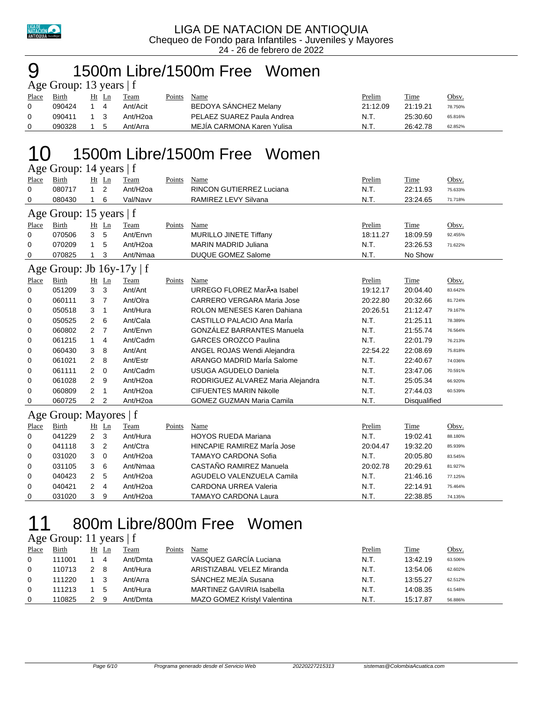

## 1500m Libre/1500m Free Women

| Age Group: 13 years $ f $ |        |       |   |                      |        |                            |               |          |              |  |  |
|---------------------------|--------|-------|---|----------------------|--------|----------------------------|---------------|----------|--------------|--|--|
| Place                     | Birth  | Ht Ln |   | Team                 | Points | Name                       | <b>Prelim</b> | Time     | <u>Obsv.</u> |  |  |
| $\Omega$                  | 090424 |       |   | Ant/Acit             |        | BEDOYA SANCHEZ Melany      | 21:12.09      | 21:19.21 | 78.750%      |  |  |
| 0                         | 090411 | 1 3   |   | Ant/H <sub>20a</sub> |        | PELAEZ SUAREZ Paula Andrea | N.T.          | 25:30.60 | 65.816%      |  |  |
|                           | 090328 |       | 5 | Ant/Arra             |        | MEJÍA CARMONA Karen Yulisa | N.T           | 26:42.78 | 62.852%      |  |  |

## 1500m Libre/1500m Free Women

| 0     | 080717                         | 1              | 2              | Ant/H <sub>2oa</sub> |        | <b>RINCON GUTIERREZ Luciana</b>   | N.T.     | 22:11.93            | 75.633% |
|-------|--------------------------------|----------------|----------------|----------------------|--------|-----------------------------------|----------|---------------------|---------|
| 0     | 080430                         |                | 6              | Val/Navv             |        | RAMIREZ LEVY Silvana              | N.T.     | 23:24.65            | 71.718% |
|       | Age Group: 15 years   f        |                |                |                      |        |                                   |          |                     |         |
| Place | Birth                          |                | Ht Ln          | Team                 | Points | Name                              | Prelim   | Time                | Obsv.   |
| 0     | 070506                         | 3              | 5              | Ant/Envn             |        | MURILLO JINETE Tiffany            | 18:11.27 | 18:09.59            | 92.455% |
| 0     | 070209                         | 1              | 5              | Ant/H <sub>2oa</sub> |        | <b>MARIN MADRID Juliana</b>       | N.T.     | 23:26.53            | 71.622% |
| 0     | 070825                         | 1              | 3              | Ant/Nmaa             |        | <b>DUQUE GOMEZ Salome</b>         | N.T.     | No Show             |         |
|       | Age Group: Jb $16y-17y \mid f$ |                |                |                      |        |                                   |          |                     |         |
| Place | <b>Birth</b>                   |                | $Ht$ Ln        | Team                 | Points | Name                              | Prelim   | Time                | Obsv.   |
| 0     | 051209                         | 3              | 3              | Ant/Ant              |        | URREGO FLOREZ MarÕa Isabel        | 19:12.17 | 20:04.40            | 83.642% |
| 0     | 060111                         | 3              | $\overline{7}$ | Ant/Olra             |        | CARRERO VERGARA Maria Jose        | 20:22.80 | 20:32.66            | 81.724% |
| 0     | 050518                         | 3              | 1              | Ant/Hura             |        | ROLON MENESES Karen Dahiana       | 20:26.51 | 21:12.47            | 79.167% |
| 0     | 050525                         | $\overline{2}$ | 6              | Ant/Cala             |        | CASTILLO PALACIO Ana Maria        | N.T.     | 21:25.11            | 78.389% |
| 0     | 060802                         | 2              | $\overline{7}$ | Ant/Envn             |        | <b>GONZÁLEZ BARRANTES Manuela</b> | N.T.     | 21:55.74            | 76.564% |
| 0     | 061215                         | 1              | 4              | Ant/Cadm             |        | <b>GARCES OROZCO Paulina</b>      | N.T.     | 22:01.79            | 76.213% |
| 0     | 060430                         | 3              | 8              | Ant/Ant              |        | ANGEL ROJAS Wendi Alejandra       | 22:54.22 | 22:08.69            | 75.818% |
| 0     | 061021                         | $\overline{2}$ | 8              | Ant/Estr             |        | ARANGO MADRID MarÍa Salome        | N.T.     | 22:40.67            | 74.036% |
| 0     | 061111                         | 2              | $\mathbf 0$    | Ant/Cadm             |        | <b>USUGA AGUDELO Daniela</b>      | N.T.     | 23:47.06            | 70.591% |
| 0     | 061028                         | $\overline{2}$ | 9              | Ant/H <sub>2oa</sub> |        | RODRIGUEZ ALVAREZ Maria Alejandra | N.T.     | 25:05.34            | 66.920% |
| 0     | 060809                         | 2              | 1              | Ant/H2oa             |        | <b>CIFUENTES MARIN Nikolle</b>    | N.T.     | 27:44.03            | 60.539% |
| 0     | 060725                         | $\overline{2}$ | 2              | Ant/H <sub>2oa</sub> |        | <b>GOMEZ GUZMAN Maria Camila</b>  | N.T.     | <b>Disqualified</b> |         |
|       | Age Group: Mayores   f         |                |                |                      |        |                                   |          |                     |         |
| Place | Birth                          |                | Ht Ln          | Team                 | Points | Name                              | Prelim   | <b>Time</b>         | Obsv.   |
| 0     | 041229                         | 2 <sub>3</sub> |                | Ant/Hura             |        | <b>HOYOS RUEDA Mariana</b>        | N.T.     | 19:02.41            | 88.180% |
| 0     | 041118                         | 3              | 2              | Ant/Ctra             |        | HINCAPIE RAMIREZ Maria Jose       | 20:04.47 | 19:32.20            | 85.939% |
| 0     | 031020                         | 3              | 0              | Ant/H <sub>2oa</sub> |        | <b>TAMAYO CARDONA Sofia</b>       | N.T.     | 20:05.80            | 83.545% |
| 0     | 031105                         | 3              | 6              | Ant/Nmaa             |        | CASTAÑO RAMIREZ Manuela           | 20:02.78 | 20:29.61            | 81.927% |

## 800m Libre/800m Free Women

#### Age Group: 11 years | f

| Place    | Birth  |     | Ht Ln | Team     | Points | Name                         | Prelim | Time     | <u>Obsv.</u> |
|----------|--------|-----|-------|----------|--------|------------------------------|--------|----------|--------------|
| 0        | 111001 |     | 4     | Ant/Dmta |        | VASQUEZ GARCÍA Luciana       | N.T.   | 13:42.19 | 63.506%      |
| $\Omega$ | 110713 | 2 8 |       | Ant/Hura |        | ARISTIZABAL VELEZ Miranda    | N.T.   | 13:54.06 | 62.602%      |
| $\Omega$ | 111220 |     |       | Ant/Arra |        | SÁNCHEZ MEJÍA Susana         | N.T.   | 13:55.27 | 62.512%      |
| 0        | 111213 |     | 5     | Ant/Hura |        | MARTINEZ GAVIRIA Isabella    | N.T.   | 14:08.35 | 61.548%      |
|          | 110825 |     | -9    | Ant/Dmta |        | MAZO GOMEZ Kristyl Valentina | N.T.   | 15:17.87 | 56.886%      |

0 040423 2 5 Ant/H2oa AGUDELO VALENZUELA Camila 1 N.T. 21:46.16 77.125% 0 040421 2 4 Ant/H2oa CARDONA URREA Valeria 1 1. N.T. 22:14.91 75.464% 0 031020 3 9 Ant/H2oa TAMAYO CARDONA Laura N.T. 22:38.85 74.135%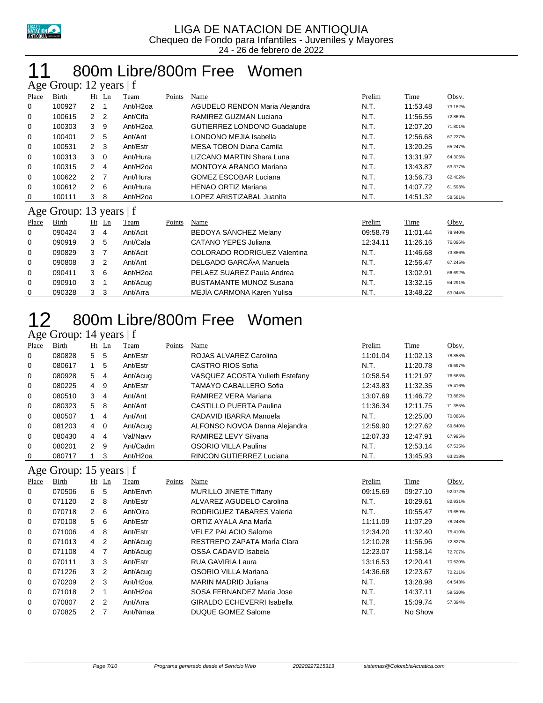

#### 800m Libre/800m Free Women Age Group: 12 years | f

|       | $\Delta$ gc Oroup. 12 years $\pm$ |                |                |                      |        |                                      |          |          |         |
|-------|-----------------------------------|----------------|----------------|----------------------|--------|--------------------------------------|----------|----------|---------|
| Place | Birth                             |                | $Ht$ Ln        | Team                 | Points | Name                                 | Prelim   | Time     | Obsv.   |
| 0     | 100927                            | $\overline{2}$ | 1              | Ant/H <sub>20a</sub> |        | AGUDELO RENDON Maria Alejandra       | N.T.     | 11:53.48 | 73.182% |
| 0     | 100615                            | $\overline{2}$ | $\overline{2}$ | Ant/Cifa             |        | RAMIREZ GUZMAN Luciana               | N.T.     | 11:56.55 | 72.869% |
| 0     | 100303                            | 3              | 9              | Ant/H <sub>20a</sub> |        | <b>GUTIERREZ LONDONO Guadalupe</b>   | N.T.     | 12:07.20 | 71.801% |
| 0     | 100401                            | $\overline{2}$ | -5             | Ant/Ant              |        | LONDONO MEJIA Isabella               | N.T.     | 12:56.68 | 67.227% |
| 0     | 100531                            | $\mathcal{P}$  | - 3            | Ant/Estr             |        | <b>MESA TOBON Diana Camila</b>       | N.T.     | 13:20.25 | 65.247% |
| 0     | 100313                            | 3              | $\overline{0}$ | Ant/Hura             |        | LIZCANO MARTIN Shara Luna            | N.T.     | 13:31.97 | 64.305% |
| 0     | 100315                            | 2              | 4              | Ant/H <sub>2oa</sub> |        | <b>MONTOYA ARANGO Mariana</b>        | N.T.     | 13:43.87 | 63.377% |
| 0     | 100622                            | 2              | 7              | Ant/Hura             |        | <b>GOMEZ ESCOBAR Luciana</b>         | N.T.     | 13:56.73 | 62.402% |
| 0     | 100612                            | $\overline{2}$ | 6              | Ant/Hura             |        | <b>HENAO ORTIZ Mariana</b>           | N.T.     | 14:07.72 | 61.593% |
| 0     | 100111                            | 3              | 8              | Ant/H <sub>2oa</sub> |        | LOPEZ ARISTIZABAL Juanita            | N.T.     | 14:51.32 | 58.581% |
|       | Age Group: 13 years   f           |                |                |                      |        |                                      |          |          |         |
| Place | Birth                             |                | $Ht$ Ln        | Team                 | Points | Name                                 | Prelim   | Time     | Obsv.   |
| 0     | 090424                            | 3              | 4              | Ant/Acit             |        | BEDOYA SÁNCHEZ Melany                | 09:58.79 | 11:01.44 | 78.940% |
| 0     | 090919                            | 3              | 5              | Ant/Cala             |        | <b>CATANO YEPES Juliana</b>          | 12:34.11 | 11:26.16 | 76.096% |
| 0     | 090829                            | 3              | 7              | Ant/Acit             |        | <b>COLORADO RODRIGUEZ Valentina</b>  | N.T.     | 11:46.68 | 73.886% |
| 0     | 090808                            | 3              | $\overline{2}$ | Ant/Ant              |        | DELGADO GARCÃ <sup>®</sup> A Manuela | N.T.     | 12:56.47 | 67.245% |
| 0     | 090411                            | 3              | 6              | Ant/H <sub>2oa</sub> |        | PELAEZ SUAREZ Paula Andrea           | N.T.     | 13:02.91 | 66.692% |
| 0     | 090910                            | 3              |                | Ant/Acug             |        | <b>BUSTAMANTE MUNOZ Susana</b>       | N.T.     | 13:32.15 | 64.291% |
| 0     | 090328                            | 3              | 3              | Ant/Arra             |        | MEJIA CARMONA Karen Yulisa           | N.T.     | 13:48.22 | 63.044% |

## 800m Libre/800m Free Women

| Age Group: 14 years   f |  |  |
|-------------------------|--|--|
|-------------------------|--|--|

| <b>Place</b> | <b>Birth</b> | Ht             | Ln             | Team                 | Points | Name                            | Prelim   | <b>Time</b> | Obsv.   |
|--------------|--------------|----------------|----------------|----------------------|--------|---------------------------------|----------|-------------|---------|
| 0            | 080828       | 5              | 5              | Ant/Estr             |        | ROJAS ALVAREZ Carolina          | 11:01.04 | 11:02.13    | 78.858% |
| 0            | 080617       | $\mathbf{1}$   | 5              | Ant/Estr             |        | CASTRO RIOS Sofia               | N.T.     | 11:20.78    | 76.697% |
| 0            | 080928       | 5              | -4             | Ant/Acuq             |        | VASQUEZ ACOSTA Yulieth Estefany | 10:58.54 | 11:21.97    | 76.563% |
| 0            | 080225       | $\overline{4}$ | -9             | Ant/Estr             |        | <b>TAMAYO CABALLERO Sofia</b>   | 12:43.83 | 11:32.35    | 75.416% |
| 0            | 080510       | 3              | 4              | Ant/Ant              |        | RAMIREZ VERA Mariana            | 13:07.69 | 11:46.72    | 73.882% |
| 0            | 080323       | 5              | -8             | Ant/Ant              |        | CASTILLO PUERTA Paulina         | 11:36.34 | 12:11.75    | 71.355% |
| 0            | 080507       | 1              | 4              | Ant/Ant              |        | CADAVID IBARRA Manuela          | N.T.     | 12:25.00    | 70.086% |
| 0            | 081203       | $\overline{4}$ | $\overline{0}$ | Ant/Acuq             |        | ALFONSO NOVOA Danna Alejandra   | 12:59.90 | 12:27.62    | 69.840% |
| 0            | 080430       | $4\quad 4$     |                | Val/Navv             |        | RAMIREZ LEVY Silvana            | 12:07.33 | 12:47.91    | 67.995% |
| $\Omega$     | 080201       | $2^{\circ}$    | -9             | Ant/Cadm             |        | OSORIO VILLA Paulina            | N.T.     | 12:53.14    | 67.535% |
| 0            | 080717       |                | 3              | Ant/H <sub>20a</sub> |        | <b>RINCON GUTIERREZ Luciana</b> | N.T.     | 13:45.93    | 63.218% |

#### Age Group: 15 years | f

| ັ     | -      | $\tilde{\phantom{a}}$ |                      |        |                                   |          |          |         |
|-------|--------|-----------------------|----------------------|--------|-----------------------------------|----------|----------|---------|
| Place | Birth  | $Ht$ Ln               | Team                 | Points | Name                              | Prelim   | Time     | Obsv.   |
| 0     | 070506 | 5<br>6                | Ant/Envn             |        | <b>MURILLO JINETE Tiffany</b>     | 09:15.69 | 09:27.10 | 92.072% |
| 0     | 071120 | -8<br>2               | Ant/Estr             |        | ALVAREZ AGUDELO Carolina          | N.T.     | 10:29.61 | 82.931% |
| 0     | 070718 | -6<br>$\mathcal{P}$   | Ant/Olra             |        | RODRIGUEZ TABARES Valeria         | N.T.     | 10:55.47 | 79.659% |
| 0     | 070108 | - 6<br>5              | Ant/Estr             |        | ORTIZ AYALA Ana Marla             | 11:11.09 | 11:07.29 | 78.248% |
| 0     | 071006 | 4 8                   | Ant/Estr             |        | <b>VELEZ PALACIO Salome</b>       | 12:34.20 | 11:32.40 | 75.410% |
| 0     | 071013 | $4\quad 2$            | Ant/Acug             |        | RESTREPO ZAPATA María Clara       | 12:10.28 | 11:56.96 | 72.827% |
| 0     | 071108 | 4 7                   | Ant/Acug             |        | OSSA CADAVID Isabela              | 12:23.07 | 11:58.14 | 72.707% |
| 0     | 070111 | 3 <sub>3</sub>        | Ant/Estr             |        | RUA GAVIRIA Laura                 | 13:16.53 | 12:20.41 | 70.520% |
| 0     | 071226 | 3 <sub>2</sub>        | Ant/Acug             |        | OSORIO VILLA Mariana              | 14:36.68 | 12:23.67 | 70.211% |
| 0     | 070209 | 2 <sub>3</sub>        | Ant/H <sub>20a</sub> |        | <b>MARIN MADRID Juliana</b>       | N.T.     | 13:28.98 | 64.543% |
| 0     | 071018 | 2 1                   | Ant/H <sub>20a</sub> |        | SOSA FERNANDEZ Maria Jose         | N.T.     | 14:37.11 | 59.530% |
| 0     | 070807 | 2 <sub>2</sub>        | Ant/Arra             |        | <b>GIRALDO ECHEVERRI Isabella</b> | N.T.     | 15:09.74 | 57.394% |
| 0     | 070825 | 7<br>2                | Ant/Nmaa             |        | <b>DUQUE GOMEZ Salome</b>         | N.T.     | No Show  |         |
|       |        |                       |                      |        |                                   |          |          |         |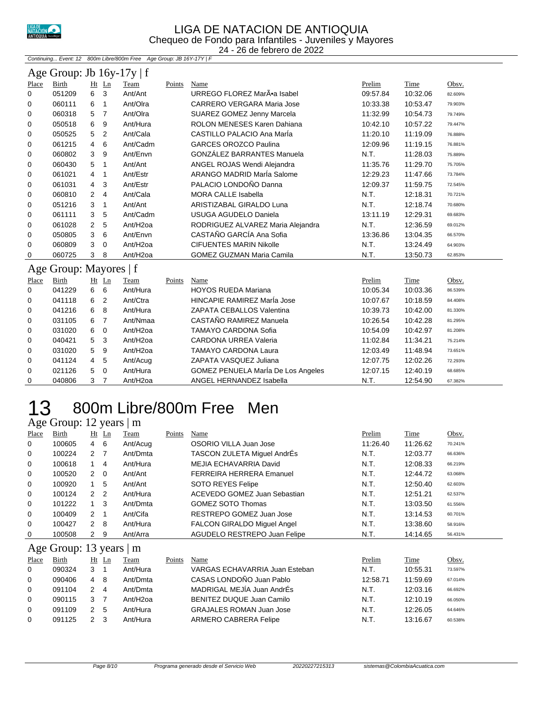

#### LIGA DE NATACION DE ANTIOQUIA Chequeo de Fondo para Infantiles - Juveniles y Mayores 24 - 26 de febrero de 2022

Continuing... Event: 12 800m Libre/800m Free Age Group: JB 16Y-17Y | F

|                                                                                                                  | Age Group: Jb $16y-17y \mid f$ |                      |                |                       |        |                                   |          |          |         |  |  |  |
|------------------------------------------------------------------------------------------------------------------|--------------------------------|----------------------|----------------|-----------------------|--------|-----------------------------------|----------|----------|---------|--|--|--|
| <b>Place</b>                                                                                                     | Birth                          |                      | $Ht$ Ln        | Team                  | Points | Name                              | Prelim   | Time     | Obsv.   |  |  |  |
| 0                                                                                                                | 051209                         | 6                    | 3              | Ant/Ant               |        | URREGO FLOREZ MarÕa Isabel        | 09:57.84 | 10:32.06 | 82.609% |  |  |  |
| 0                                                                                                                | 060111                         | 6                    | -1             | Ant/Olra              |        | <b>CARRERO VERGARA Maria Jose</b> | 10:33.38 | 10:53.47 | 79.903% |  |  |  |
| 0                                                                                                                | 060318                         | 5                    | 7              | Ant/Olra              |        | SUAREZ GOMEZ Jenny Marcela        | 11:32.99 | 10:54.73 | 79.749% |  |  |  |
| 0                                                                                                                | 050518                         | 6                    | 9              | Ant/Hura              |        | ROLON MENESES Karen Dahiana       | 10:42.10 | 10:57.22 | 79.447% |  |  |  |
| 0                                                                                                                | 050525                         | 5                    | $\overline{2}$ | Ant/Cala              |        | CASTILLO PALACIO Ana Maria        | 11:20.10 | 11:19.09 | 76.888% |  |  |  |
| 0                                                                                                                | 061215                         | 4                    | 6              | Ant/Cadm              |        | <b>GARCES OROZCO Paulina</b>      | 12:09.96 | 11:19.15 | 76.881% |  |  |  |
| 0                                                                                                                | 060802                         | 3                    | 9              | Ant/Envn              |        | <b>GONZÁLEZ BARRANTES Manuela</b> | N.T.     | 11:28.03 | 75.889% |  |  |  |
| 0                                                                                                                | 060430                         | 5                    | -1             | Ant/Ant               |        | ANGEL ROJAS Wendi Alejandra       | 11:35.76 | 11:29.70 | 75.705% |  |  |  |
| 0                                                                                                                | 061021                         | $\overline{4}$       | -1             | Ant/Estr              |        | ARANGO MADRID Maria Salome        | 12:29.23 | 11:47.66 | 73.784% |  |  |  |
| 0                                                                                                                | 061031                         | $\overline{4}$       | 3              | Ant/Estr              |        | PALACIO LONDOÑO Danna             | 12:09.37 | 11:59.75 | 72.545% |  |  |  |
| 0                                                                                                                | 060810                         | $\mathbf{2}^{\circ}$ | 4              | Ant/Cala              |        | <b>MORA CALLE Isabella</b>        | N.T.     | 12:18.31 | 70.721% |  |  |  |
| 0                                                                                                                | 051216                         | 3                    | -1             | Ant/Ant               |        | ARISTIZABAL GIRALDO Luna          | N.T.     | 12:18.74 | 70.680% |  |  |  |
| 0                                                                                                                | 061111                         | 3                    | 5              | Ant/Cadm              |        | <b>USUGA AGUDELO Daniela</b>      | 13:11.19 | 12:29.31 | 69.683% |  |  |  |
| 0                                                                                                                | 061028                         | $\overline{2}$       | 5              | Ant/H <sub>2</sub> oa |        | RODRIGUEZ ALVAREZ Maria Alejandra | N.T.     | 12:36.59 | 69.012% |  |  |  |
| 0                                                                                                                | 050805                         | 3                    | 6              | Ant/Envn              |        | CASTAÑO GARCÍA Ana Sofia          | 13:36.86 | 13:04.35 | 66.570% |  |  |  |
| 0                                                                                                                | 060809                         | 3                    | $\mathbf 0$    | Ant/H <sub>20a</sub>  |        | <b>CIFUENTES MARIN Nikolle</b>    | N.T.     | 13:24.49 | 64.903% |  |  |  |
| Ant/H <sub>2oa</sub><br>060725<br>3<br>8<br><b>GOMEZ GUZMAN Maria Camila</b><br>N.T.<br>0<br>13:50.73<br>62.853% |                                |                      |                |                       |        |                                   |          |          |         |  |  |  |
|                                                                                                                  | Age Group: Mayores   f         |                      |                |                       |        |                                   |          |          |         |  |  |  |

| ັ            |        |   |                |                      |        |                                    |          |          |         |
|--------------|--------|---|----------------|----------------------|--------|------------------------------------|----------|----------|---------|
| Place        | Birth  |   | $Ht$ Ln        | Team                 | Points | Name                               | Prelim   | Time     | Obsv.   |
| $\mathbf{0}$ | 041229 | 6 | 6              | Ant/Hura             |        | <b>HOYOS RUEDA Mariana</b>         | 10:05.34 | 10:03.36 | 86.539% |
| $\mathbf 0$  | 041118 | 6 | -2             | Ant/Ctra             |        | HINCAPIE RAMIREZ María Jose        | 10:07.67 | 10:18.59 | 84.408% |
| 0            | 041216 | 6 | 8              | Ant/Hura             |        | ZAPATA CEBALLOS Valentina          | 10:39.73 | 10:42.00 | 81.330% |
| $\mathbf 0$  | 031105 | 6 |                | Ant/Nmaa             |        | CASTAÑO RAMIREZ Manuela            | 10:26.54 | 10:42.28 | 81.295% |
| $\mathbf 0$  | 031020 | 6 | $\Omega$       | Ant/H <sub>20a</sub> |        | TAMAYO CARDONA Sofia               | 10:54.09 | 10:42.97 | 81.208% |
| 0            | 040421 | 5 | - 3            | Ant/H <sub>20a</sub> |        | CARDONA URREA Valeria              | 11:02.84 | 11:34.21 | 75.214% |
| $\mathbf 0$  | 031020 | 5 | -9             | Ant/H <sub>20a</sub> |        | <b>TAMAYO CARDONA Laura</b>        | 12:03.49 | 11:48.94 | 73.651% |
| $\mathbf 0$  | 041124 | 4 | 5              | Ant/Acug             |        | ZAPATA VASQUEZ Juliana             | 12:07.75 | 12:02.26 | 72.293% |
| 0            | 021126 | 5 | $\overline{0}$ | Ant/Hura             |        | GOMEZ PENUELA María De Los Angeles | 12:07.15 | 12:40.19 | 68.685% |
| $\mathbf 0$  | 040806 | 3 |                | Ant/H <sub>20a</sub> |        | ANGEL HERNANDEZ Isabella           | N.T.     | 12:54.90 | 67.382% |

#### 800m Libre/800m Free Men 800m Libr<br>Age Group: 12 years  $\mid$  m

|       | $12.50$ signals $12.50$<br> |              |                |          |        |                                    |          |          |         |  |  |  |
|-------|-----------------------------|--------------|----------------|----------|--------|------------------------------------|----------|----------|---------|--|--|--|
| Place | Birth                       |              | $Ht$ Ln        | Team     | Points | Name                               | Prelim   | Time     | Obsv.   |  |  |  |
| 0     | 100605                      | 4            | - 6            | Ant/Acug |        | OSORIO VILLA Juan Jose             | 11:26.40 | 11:26.62 | 70.241% |  |  |  |
| 0     | 100224                      | 2            | $\overline{7}$ | Ant/Dmta |        | TASCON ZULETA Miquel AndrÉs        | N.T.     | 12:03.77 | 66.636% |  |  |  |
| 0     | 100618                      |              | -4             | Ant/Hura |        | MEJIA ECHAVARRIA David             | N.T.     | 12:08.33 | 66.219% |  |  |  |
| 0     | 100520                      | 2            | $\overline{0}$ | Ant/Ant  |        | <b>FERREIRA HERRERA Emanuel</b>    | N.T.     | 12:44.72 | 63.068% |  |  |  |
| 0     | 100920                      |              | -5             | Ant/Ant  |        | <b>SOTO REYES Felipe</b>           | N.T.     | 12:50.40 | 62.603% |  |  |  |
| 0     | 100124                      | 2            | $\overline{2}$ | Ant/Hura |        | ACEVEDO GOMEZ Juan Sebastian       | N.T.     | 12:51.21 | 62.537% |  |  |  |
| 0     | 101222                      | $1 \quad 3$  |                | Ant/Dmta |        | <b>GOMEZ SOTO Thomas</b>           | N.T.     | 13:03.50 | 61.556% |  |  |  |
| 0     | 100409                      | 2            | $\overline{1}$ | Ant/Cifa |        | RESTREPO GOMEZ Juan Jose           | N.T.     | 13:14.53 | 60.701% |  |  |  |
| 0     | 100427                      | 2            | - 8            | Ant/Hura |        | <b>FALCON GIRALDO Miquel Angel</b> | N.T.     | 13:38.60 | 58.916% |  |  |  |
| 0     | 100508                      | $\mathbf{2}$ | -9             | Ant/Arra |        | AGUDELO RESTREPO Juan Felipe       | N.T.     | 14:14.65 | 56.431% |  |  |  |
|       | Age Group: 13 years   m     |              |                |          |        |                                    |          |          |         |  |  |  |
| Place | Birth                       |              | $Ht$ Ln        | Team     | Points | Name                               | Prelim   | Time     | Obsv.   |  |  |  |
| 0     | 090324                      | 3            |                | Ant/Hura |        | VARGAS ECHAVARRIA Juan Esteban     | N.T.     | 10:55.31 | 73.597% |  |  |  |
|       |                             |              |                |          |        |                                    |          |          |         |  |  |  |

| $\overline{0}$ | 090324 |    | Ant/Hura             | VARGAS ECHAVARRIA Juan Esteban  | N.T.     | 10:55.31 | 73.597% |
|----------------|--------|----|----------------------|---------------------------------|----------|----------|---------|
| $\Omega$       | 090406 | 48 | Ant/Dmta             | CASAS LONDOÑO Juan Pablo        | 12:58.71 | 11:59.69 | 67.014% |
| $\Omega$       | 091104 | 24 | Ant/Dmta             | MADRIGAL MEJÍA Juan AndrÉs      | N.T.     | 12:03.16 | 66.692% |
| 0              | 090115 |    | Ant/H <sub>20a</sub> | BENITEZ DUQUE Juan Camilo       | N.T.     | 12:10.19 | 66.050% |
| 0              | 091109 | 25 | Ant/Hura             | <b>GRAJALES ROMAN Juan Jose</b> | N.T.     | 12:26.05 | 64.646% |
| $\Omega$       | 091125 |    | Ant/Hura             | ARMERO CABRERA Felipe           | N.T.     | 13:16.67 | 60.538% |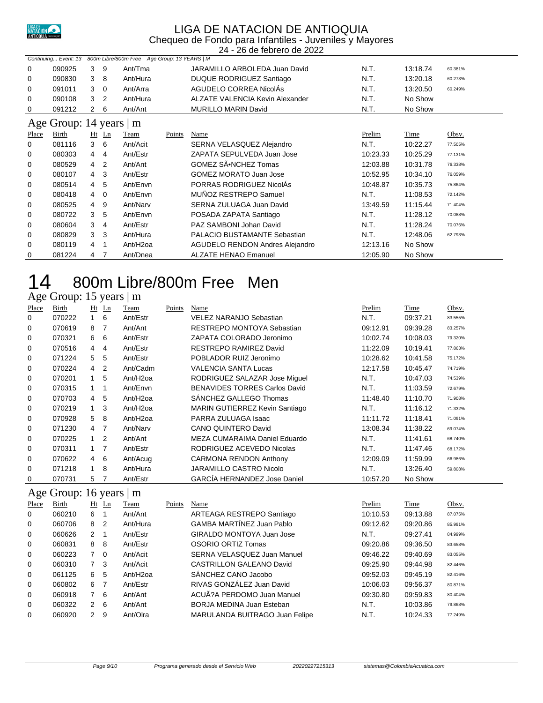

#### LIGA DE NATACION DE ANTIOQUIA Chequeo de Fondo para Infantiles - Juveniles y Mayores

24 - 26 de febrero de 2022

| 800m Libre/800m Free Age Group: 13 YEARS   M<br>Continuing Event: 13 |        |                |                |                      |        |                                 |               |             |         |  |  |
|----------------------------------------------------------------------|--------|----------------|----------------|----------------------|--------|---------------------------------|---------------|-------------|---------|--|--|
| 0                                                                    | 090925 | 3              | 9              | Ant/Tma              |        | JARAMILLO ARBOLEDA Juan David   | N.T.          | 13:18.74    | 60.381% |  |  |
| 0                                                                    | 090830 | 3              | 8              | Ant/Hura             |        | DUQUE RODRIGUEZ Santiago        | N.T.          | 13:20.18    | 60.273% |  |  |
| 0                                                                    | 091011 | 3              | $\overline{0}$ | Ant/Arra             |        | AGUDELO CORREA NicolAs          | N.T.          | 13:20.50    | 60.249% |  |  |
| 0                                                                    | 090108 | 3              | $\overline{2}$ | Ant/Hura             |        | ALZATE VALENCIA Kevin Alexander | N.T.          | No Show     |         |  |  |
| 0                                                                    | 091212 | 2              | 6              | Ant/Ant              |        | MURILLO MARIN David             | N.T.          | No Show     |         |  |  |
| Age Group: 14 years<br>m                                             |        |                |                |                      |        |                                 |               |             |         |  |  |
| <b>Place</b>                                                         | Birth  |                | $Ht$ Ln        | <b>Team</b>          | Points | Name                            | <b>Prelim</b> | <b>Time</b> | Obsv.   |  |  |
| 0                                                                    | 081116 | 3              | - 6            | Ant/Acit             |        | SERNA VELASQUEZ Alejandro       | N.T.          | 10:22.27    | 77.505% |  |  |
| 0                                                                    | 080303 | $\overline{4}$ | 4              | Ant/Estr             |        | ZAPATA SEPULVEDA Juan Jose      | 10:23.33      | 10:25.29    | 77.131% |  |  |
| 0                                                                    | 080529 | $\overline{4}$ | $\overline{2}$ | Ant/Ant              |        | GOMEZ SÕNCHEZ Tomas             | 12:03.88      | 10:31.78    | 76.338% |  |  |
| 0                                                                    | 080107 | $\overline{4}$ | $\mathbf{3}$   | Ant/Estr             |        | <b>GOMEZ MORATO Juan Jose</b>   | 10:52.95      | 10:34.10    | 76.059% |  |  |
| 0                                                                    | 080514 | $\overline{4}$ | 5              | Ant/Envn             |        | PORRAS RODRIGUEZ NicolAs        | 10:48.87      | 10:35.73    | 75.864% |  |  |
| 0                                                                    | 080418 | 4              | $\overline{0}$ | Ant/Envn             |        | MUÑOZ RESTREPO Samuel           | N.T.          | 11:08.53    | 72.142% |  |  |
| 0                                                                    | 080525 | 4              | 9              | Ant/Narv             |        | SERNA ZULUAGA Juan David        | 13:49.59      | 11:15.44    | 71.404% |  |  |
| 0                                                                    | 080722 | 3              | 5              | Ant/Envn             |        | POSADA ZAPATA Santiago          | N.T.          | 11:28.12    | 70.088% |  |  |
| 0                                                                    | 080604 | 3              | 4              | Ant/Estr             |        | PAZ SAMBONI Johan David         | N.T.          | 11:28.24    | 70.076% |  |  |
| 0                                                                    | 080829 | 3              | 3              | Ant/Hura             |        | PALACIO BUSTAMANTE Sebastian    | N.T.          | 12:48.06    | 62.793% |  |  |
| 0                                                                    | 080119 | 4              |                | Ant/H <sub>2oa</sub> |        | AGUDELO RENDON Andres Alejandro | 12:13.16      | No Show     |         |  |  |
| 0                                                                    | 081224 | 4              | 7              | Ant/Dnea             |        | <b>ALZATE HENAO Emanuel</b>     | 12:05.90      | No Show     |         |  |  |

# 800m Libre/800m Free Men

#### Age Group: 15 years | m

| Place | Birth  |                | $Ht$ Ln        | Team                 | Points | Name                                 | Prelim   | Time     | Obsv.   |
|-------|--------|----------------|----------------|----------------------|--------|--------------------------------------|----------|----------|---------|
| 0     | 070222 | $\mathbf{1}$   | -6             | Ant/Estr             |        | <b>VELEZ NARANJO Sebastian</b>       | N.T.     | 09:37.21 | 83.555% |
| 0     | 070619 | 8              | $\overline{7}$ | Ant/Ant              |        | RESTREPO MONTOYA Sebastian           | 09:12.91 | 09:39.28 | 83.257% |
| 0     | 070321 | 6              | 6              | Ant/Estr             |        | ZAPATA COLORADO Jeronimo             | 10:02.74 | 10:08.03 | 79.320% |
| 0     | 070516 | 4              | $\overline{4}$ | Ant/Estr             |        | RESTREPO RAMIREZ David               | 11:22.09 | 10:19.41 | 77.863% |
| 0     | 071224 | 5              | 5              | Ant/Estr             |        | POBLADOR RUIZ Jeronimo               | 10:28.62 | 10:41.58 | 75.172% |
| 0     | 070224 | 4              | $\overline{2}$ | Ant/Cadm             |        | <b>VALENCIA SANTA Lucas</b>          | 12:17.58 | 10:45.47 | 74.719% |
| 0     | 070201 |                | 5              | Ant/H <sub>20a</sub> |        | RODRIGUEZ SALAZAR Jose Miguel        | N.T.     | 10:47.03 | 74.539% |
| 0     | 070315 |                | 1              | Ant/Envn             |        | <b>BENAVIDES TORRES Carlos David</b> | N.T.     | 11:03.59 | 72.679% |
| 0     | 070703 | $\overline{4}$ | 5              | Ant/H <sub>20a</sub> |        | SANCHEZ GALLEGO Thomas               | 11:48.40 | 11:10.70 | 71.908% |
| 0     | 070219 | $\mathbf{1}$   | 3              | Ant/H <sub>20a</sub> |        | MARIN GUTIERREZ Kevin Santiago       | N.T.     | 11:16.12 | 71.332% |
| 0     | 070928 | 5              | 8              | Ant/H <sub>20a</sub> |        | PARRA ZULUAGA Isaac                  | 11:11.72 | 11:18.41 | 71.091% |
| 0     | 071230 | 4              | 7              | Ant/Narv             |        | <b>CANO QUINTERO David</b>           | 13:08.34 | 11:38.22 | 69.074% |
| 0     | 070225 |                | $\overline{2}$ | Ant/Ant              |        | MEZA CUMARAIMA Daniel Eduardo        | N.T.     | 11:41.61 | 68.740% |
| 0     | 070311 |                | $\overline{7}$ | Ant/Estr             |        | RODRIGUEZ ACEVEDO Nicolas            | N.T.     | 11:47.46 | 68.172% |
| 0     | 070622 | 4              | 6              | Ant/Acug             |        | <b>CARMONA RENDON Anthony</b>        | 12:09.09 | 11:59.99 | 66.986% |
| 0     | 071218 | 1              | 8              | Ant/Hura             |        | JARAMILLO CASTRO Nicolo              | N.T.     | 13:26.40 | 59.808% |
| 0     | 070731 | 5              | 7              | Ant/Estr             |        | <b>GARCIA HERNANDEZ Jose Daniel</b>  | 10:57.20 | No Show  |         |

#### Age Group: 16 years | m

| Birth  |  | Team                                                                                                                           | Points | Name                             | Prelim   | Time     | Obsv.   |
|--------|--|--------------------------------------------------------------------------------------------------------------------------------|--------|----------------------------------|----------|----------|---------|
| 060210 |  | Ant/Ant                                                                                                                        |        | ARTEAGA RESTREPO Santiago        | 10:10.53 | 09:13.88 | 87.075% |
| 060706 |  | Ant/Hura                                                                                                                       |        | <b>GAMBA MARTÍNEZ Juan Pablo</b> | 09:12.62 | 09:20.86 | 85.991% |
| 060626 |  | Ant/Estr                                                                                                                       |        | GIRALDO MONTOYA Juan Jose        | N.T.     | 09:27.41 | 84.999% |
| 060831 |  | Ant/Estr                                                                                                                       |        | OSORIO ORTIZ Tomas               | 09:20.86 | 09:36.50 | 83.658% |
| 060223 |  | Ant/Acit                                                                                                                       |        | SERNA VELASQUEZ Juan Manuel      | 09:46.22 | 09:40.69 | 83.055% |
| 060310 |  | Ant/Acit                                                                                                                       |        | CASTRILLON GALEANO David         | 09:25.90 | 09:44.98 | 82.446% |
| 061125 |  | Ant/H <sub>20a</sub>                                                                                                           |        | SÁNCHEZ CANO Jacobo              | 09:52.03 | 09:45.19 | 82.416% |
| 060802 |  | Ant/Estr                                                                                                                       |        | RIVAS GONZÁLEZ Juan David        | 10:06.03 | 09:56.37 | 80.871% |
| 060918 |  | Ant/Ant                                                                                                                        |        | ACUÃ?A PERDOMO Juan Manuel       | 09:30.80 | 09:59.83 | 80.404% |
| 060322 |  | Ant/Ant                                                                                                                        |        | BORJA MEDINA Juan Esteban        | N.T.     | 10:03.86 | 79.868% |
| 060920 |  | Ant/Olra                                                                                                                       |        | MARULANDA BUITRAGO Juan Felipe   | N.T.     | 10:24.33 | 77.249% |
|        |  | $Ht$ Ln<br>6 1<br>8 2<br>2 <sub>1</sub><br>8 8<br>70<br>7 <sup>3</sup><br>6 5<br>6 7<br>7 6<br>$2 \quad 6$<br>9<br>$2^{\circ}$ |        |                                  |          |          |         |